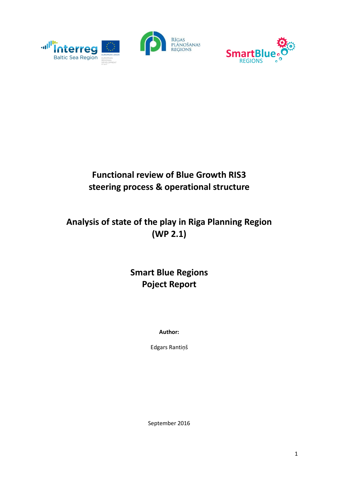



# **Functional review of Blue Growth RIS3 steering process & operational structure**

# **Analysis of state of the play in Riga Planning Region (WP 2.1)**

# **Smart Blue Regions Poject Report**

**Author:**

Edgars Rantiņš

September 2016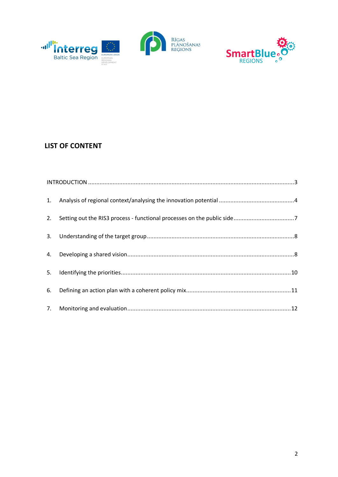



# **LIST OF CONTENT**

| 1. |  |  |  |  |
|----|--|--|--|--|
| 2. |  |  |  |  |
| 3. |  |  |  |  |
| 4. |  |  |  |  |
| 5. |  |  |  |  |
| 6. |  |  |  |  |
|    |  |  |  |  |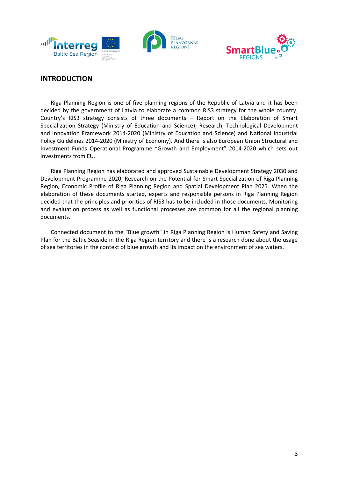



## **INTRODUCTION**

Riga Planning Region is one of five planning regions of the Republic of Latvia and it has been decided by the government of Latvia to elaborate a common RIS3 strategy for the whole country. Country's RIS3 strategy consists of three documents – Report on the Elaboration of Smart Specialization Strategy (Ministry of Education and Science), Research, Technological Development and Innovation Framework 2014-2020 (Ministry of Education and Science) and National Industrial Policy Guidelines 2014-2020 (Ministry of Economy). And there is also European Union Structural and Investment Funds Operational Programme "Growth and Employment" 2014-2020 which sets out investments from EU.

Riga Planning Region has elaborated and approved Sustainable Development Strategy 2030 and Development Programme 2020, Research on the Potential for Smart Specialization of Riga Planning Region, Economic Profile of Riga Planning Region and Spatial Development Plan 2025. When the elaboration of these documents started, experts and responsible persons in Riga Planning Region decided that the principles and priorities of RIS3 has to be included in those documents. Monitoring and evaluation process as well as functional processes are common for all the regional planning documents.

Connected document to the "Blue growth" in Riga Planning Region is Human Safety and Saving Plan for the Baltic Seaside in the Riga Region territory and there is a research done about the usage of sea territories in the context of blue growth and its impact on the environment of sea waters.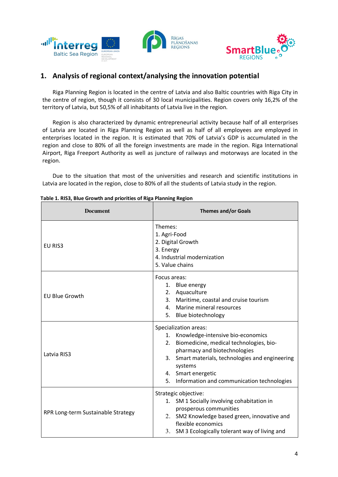

## **1. Analysis of regional context/analysing the innovation potential**

Riga Planning Region is located in the centre of Latvia and also Baltic countries with Riga City in the centre of region, though it consists of 30 local municipalities. Region covers only 16,2% of the territory of Latvia, but 50,5% of all inhabitants of Latvia live in the region.

Region is also characterized by dynamic entrepreneurial activity because half of all enterprises of Latvia are located in Riga Planning Region as well as half of all employees are employed in enterprises located in the region. It is estimated that 70% of Latvia's GDP is accumulated in the region and close to 80% of all the foreign investments are made in the region. Riga International Airport, Riga Freeport Authority as well as juncture of railways and motorways are located in the region.

Due to the situation that most of the universities and research and scientific institutions in Latvia are located in the region, close to 80% of all the students of Latvia study in the region.

| <b>Document</b>                    | <b>Themes and/or Goals</b>                                                                                                                                                                                                                                                        |  |  |
|------------------------------------|-----------------------------------------------------------------------------------------------------------------------------------------------------------------------------------------------------------------------------------------------------------------------------------|--|--|
| EU RIS <sub>3</sub>                | Themes:<br>1. Agri-Food<br>2. Digital Growth<br>3. Energy<br>4. Industrial modernization<br>5. Value chains                                                                                                                                                                       |  |  |
| <b>EU Blue Growth</b>              | Focus areas:<br>1. Blue energy<br>2. Aquaculture<br>3. Maritime, coastal and cruise tourism<br>4. Marine mineral resources<br>5. Blue biotechnology                                                                                                                               |  |  |
| Latvia RIS3                        | Specialization areas:<br>1. Knowledge-intensive bio-economics<br>2. Biomedicine, medical technologies, bio-<br>pharmacy and biotechnologies<br>3. Smart materials, technologies and engineering<br>systems<br>4. Smart energetic<br>5. Information and communication technologies |  |  |
| RPR Long-term Sustainable Strategy | Strategic objective:<br>1. SM 1 Socially involving cohabitation in<br>prosperous communities<br>2. SM2 Knowledge based green, innovative and<br>flexible economics<br>3. SM 3 Ecologically tolerant way of living and                                                             |  |  |

|  | Table 1. RIS3, Blue Growth and priorities of Riga Planning Region |  |  |
|--|-------------------------------------------------------------------|--|--|
|  |                                                                   |  |  |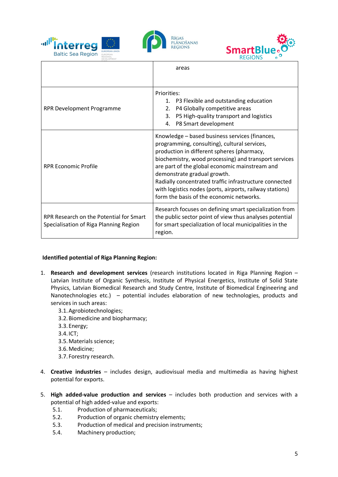





|                                                                                   | areas                                                                                                                                                                                                                                                                                                                                                                                                                                                    |  |  |
|-----------------------------------------------------------------------------------|----------------------------------------------------------------------------------------------------------------------------------------------------------------------------------------------------------------------------------------------------------------------------------------------------------------------------------------------------------------------------------------------------------------------------------------------------------|--|--|
|                                                                                   |                                                                                                                                                                                                                                                                                                                                                                                                                                                          |  |  |
| RPR Development Programme                                                         | Priorities:<br>1. P3 Flexible and outstanding education<br>P4 Globally competitive areas<br>2.<br>3.<br>P5 High-quality transport and logistics<br>4. P8 Smart development                                                                                                                                                                                                                                                                               |  |  |
| <b>RPR Economic Profile</b>                                                       | Knowledge - based business services (finances,<br>programming, consulting), cultural services,<br>production in different spheres (pharmacy,<br>biochemistry, wood processing) and transport services<br>are part of the global economic mainstream and<br>demonstrate gradual growth.<br>Radially concentrated traffic infrastructure connected<br>with logistics nodes (ports, airports, railway stations)<br>form the basis of the economic networks. |  |  |
| RPR Research on the Potential for Smart<br>Specialisation of Riga Planning Region | Research focuses on defining smart specialization from<br>the public sector point of view thus analyses potential<br>for smart specialization of local municipalities in the<br>region.                                                                                                                                                                                                                                                                  |  |  |

### **Identified potential of Riga Planning Region:**

- 1. **Research and development services** (research institutions located in Riga Planning Region Latvian Institute of Organic Synthesis, Institute of Physical Energetics, Institute of Solid State Physics, Latvian Biomedical Research and Study Centre, Institute of Biomedical Engineering and Nanotechnologies etc.) – potential includes elaboration of new technologies, products and services in such areas:
	- 3.1.Agrobiotechnologies;
	- 3.2.Biomedicine and biopharmacy;
	- 3.3.Energy;
	- 3.4.ICT;
	- 3.5.Materials science;
	- 3.6.Medicine;
	- 3.7. Forestry research.
- 4. **Creative industries** includes design, audiovisual media and multimedia as having highest potential for exports.
- 5. **High added-value production and services** includes both production and services with a potential of high added-value and exports:
	- 5.1. Production of pharmaceuticals;
	- 5.2. Production of organic chemistry elements;
	- 5.3. Production of medical and precision instruments;
	- 5.4. Machinery production;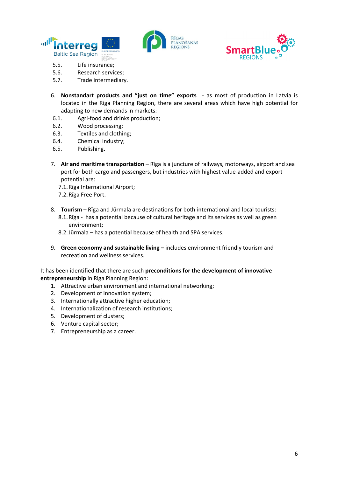





- 5.5. Life insurance;
- 5.6. Research services;
- 5.7. Trade intermediary.
- 6. **Nonstandart products and "just on time" exports** as most of production in Latvia is located in the Riga Planning Region, there are several areas which have high potential for adapting to new demands in markets:
- 6.1. Agri-food and drinks production;
- 6.2. Wood processing;
- 6.3. Textiles and clothing;
- 6.4. Chemical industry;
- 6.5. Publishing.
- 7. **Air and maritime transportation** Rīga is a juncture of railways, motorways, airport and sea port for both cargo and passengers, but industries with highest value-added and export potential are:
	- 7.1.Rīga International Airport;
	- 7.2.Rīga Free Port.
- 8. **Tourism** Rīga and Jūrmala are destinations for both international and local tourists: 8.1.Rīga - has a potential because of cultural heritage and its services as well as green environment;
	- 8.2.Jūrmala has a potential because of health and SPA services.
- 9. **Green economy and sustainable living –** includes environment friendly tourism and recreation and wellness services.

It has been identified that there are such **preconditions for the development of innovative entrepreneurship** in Riga Planning Region:

- 1. Attractive urban environment and international networking;
- 2. Development of innovation system;
- 3. Internationally attractive higher education;
- 4. Internationalization of research institutions;
- 5. Development of clusters;
- 6. Venture capital sector;
- 7. Entrepreneurship as a career.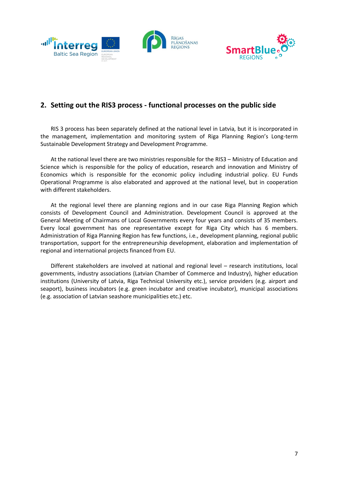



## **2. Setting out the RIS3 process - functional processes on the public side**

RIS 3 process has been separately defined at the national level in Latvia, but it is incorporated in the management, implementation and monitoring system of Riga Planning Region's Long-term Sustainable Development Strategy and Development Programme.

At the national level there are two ministries responsible for the RIS3 – Ministry of Education and Science which is responsible for the policy of education, research and innovation and Ministry of Economics which is responsible for the economic policy including industrial policy. EU Funds Operational Programme is also elaborated and approved at the national level, but in cooperation with different stakeholders.

At the regional level there are planning regions and in our case Riga Planning Region which consists of Development Council and Administration. Development Council is approved at the General Meeting of Chairmans of Local Governments every four years and consists of 35 members. Every local government has one representative except for Riga City which has 6 members. Administration of Riga Planning Region has few functions, i.e., development planning, regional public transportation, support for the entrepreneurship development, elaboration and implementation of regional and international projects financed from EU.

Different stakeholders are involved at national and regional level – research institutions, local governments, industry associations (Latvian Chamber of Commerce and Industry), higher education institutions (University of Latvia, Riga Technical University etc.), service providers (e.g. airport and seaport), business incubators (e.g. green incubator and creative incubator), municipal associations (e.g. association of Latvian seashore municipalities etc.) etc.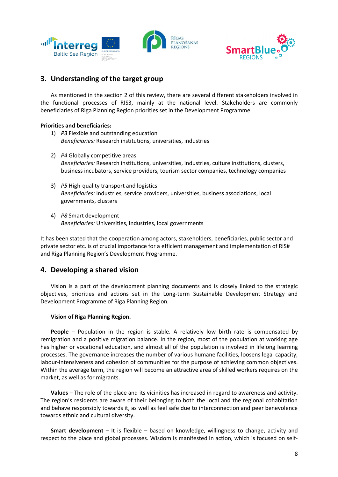



# **3. Understanding of the target group**

As mentioned in the section 2 of this review, there are several different stakeholders involved in the functional processes of RIS3, mainly at the national level. Stakeholders are commonly beneficiaries of Riga Planning Region priorities set in the Development Programme.

#### **Priorities and beneficiaries:**

- 1) *P3* Flexible and outstanding education *Beneficiaries:* Research institutions, universities, industries
- 2) *P4* Globally competitive areas *Beneficiaries:* Research institutions, universities, industries, culture institutions, clusters, business incubators, service providers, tourism sector companies, technology companies
- 3) *P5* High-quality transport and logistics *Beneficiaries:* Industries, service providers, universities, business associations, local governments, clusters
- 4) *P8* Smart development *Beneficiaries:* Universities, industries, local governments

It has been stated that the cooperation among actors, stakeholders, beneficiaries, public sector and private sector etc. is of crucial importance for a efficient management and implementation of RIS# and Riga Planning Region's Development Programme.

## **4. Developing a shared vision**

Vision is a part of the development planning documents and is closely linked to the strategic objectives, priorities and actions set in the Long-term Sustainable Development Strategy and Development Programme of Riga Planning Region.

#### **Vision of Riga Planning Region.**

**People** – Population in the region is stable. A relatively low birth rate is compensated by remigration and a positive migration balance. In the region, most of the population at working age has higher or vocational education, and almost all of the population is involved in lifelong learning processes. The governance increases the number of various humane facilities, loosens legal capacity, labour-intensiveness and cohesion of communities for the purpose of achieving common objectives. Within the average term, the region will become an attractive area of skilled workers requires on the market, as well as for migrants.

**Values** – The role of the place and its vicinities has increased in regard to awareness and activity. The region's residents are aware of their belonging to both the local and the regional cohabitation and behave responsibly towards it, as well as feel safe due to interconnection and peer benevolence towards ethnic and cultural diversity.

**Smart development** – It is flexible – based on knowledge, willingness to change, activity and respect to the place and global processes. Wisdom is manifested in action, which is focused on self-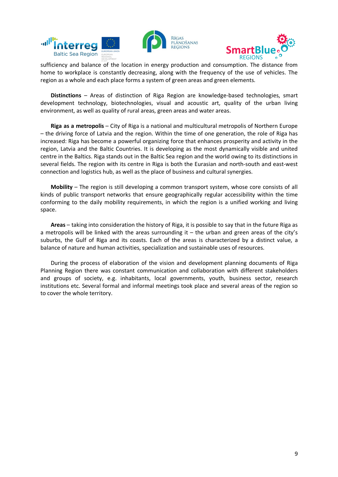



sufficiency and balance of the location in energy production and consumption. The distance from home to workplace is constantly decreasing, along with the frequency of the use of vehicles. The region as a whole and each place forms a system of green areas and green elements.

**Distinctions** – Areas of distinction of Riga Region are knowledge-based technologies, smart development technology, biotechnologies, visual and acoustic art, quality of the urban living environment, as well as quality of rural areas, green areas and water areas.

**Riga as a metropolis** – City of Riga is a national and multicultural metropolis of Northern Europe – the driving force of Latvia and the region. Within the time of one generation, the role of Riga has increased: Riga has become a powerful organizing force that enhances prosperity and activity in the region, Latvia and the Baltic Countries. It is developing as the most dynamically visible and united centre in the Baltics. Riga stands out in the Baltic Sea region and the world owing to its distinctions in several fields. The region with its centre in Riga is both the Eurasian and north-south and east-west connection and logistics hub, as well as the place of business and cultural synergies.

**Mobility** – The region is still developing a common transport system, whose core consists of all kinds of public transport networks that ensure geographically regular accessibility within the time conforming to the daily mobility requirements, in which the region is a unified working and living space.

**Areas** – taking into consideration the history of Riga, it is possible to say that in the future Riga as a metropolis will be linked with the areas surrounding it – the urban and green areas of the city's suburbs, the Gulf of Riga and its coasts. Each of the areas is characterized by a distinct value, a balance of nature and human activities, specialization and sustainable uses of resources.

During the process of elaboration of the vision and development planning documents of Riga Planning Region there was constant communication and collaboration with different stakeholders and groups of society, e.g. inhabitants, local governments, youth, business sector, research institutions etc. Several formal and informal meetings took place and several areas of the region so to cover the whole territory.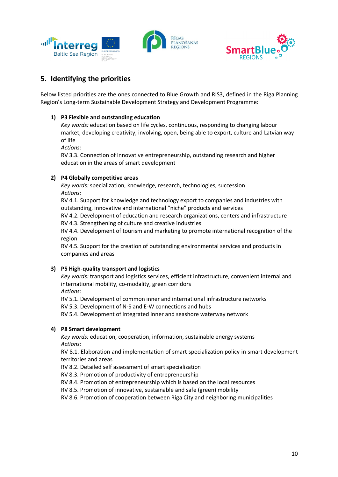



# **5. Identifying the priorities**

Below listed priorities are the ones connected to Blue Growth and RIS3, defined in the Riga Planning Region's Long-term Sustainable Development Strategy and Development Programme:

### **1) P3 Flexible and outstanding education**

*Key words:* education based on life cycles, continuous, responding to changing labour market, developing creativity, involving, open, being able to export, culture and Latvian way of life

*Actions:*

RV 3.3. Connection of innovative entrepreneurship, outstanding research and higher education in the areas of smart development

### **2) P4 Globally competitive areas**

*Key words:* specialization, knowledge, research, technologies, succession *Actions:*

RV 4.1. Support for knowledge and technology export to companies and industries with outstanding, innovative and international "niche" products and services

RV 4.2. Development of education and research organizations, centers and infrastructure RV 4.3. Strengthening of culture and creative industries

RV 4.4. Development of tourism and marketing to promote international recognition of the region

RV 4.5. Support for the creation of outstanding environmental services and products in companies and areas

### **3) P5 High-quality transport and logistics**

*Key words:* transport and logistics services, efficient infrastructure, convenient internal and international mobility, co-modality, green corridors

*Actions:*

RV 5.1. Development of common inner and international infrastructure networks

RV 5.3. Development of N-S and E-W connections and hubs

RV 5.4. Development of integrated inner and seashore waterway network

## **4) P8 Smart development**

*Key words:* education, cooperation, information, sustainable energy systems *Actions:*

RV 8.1. Elaboration and implementation of smart specialization policy in smart development territories and areas

RV 8.2. Detailed self assessment of smart specialization

RV 8.3. Promotion of productivity of entrepreneurship

RV 8.4. Promotion of entrepreneurship which is based on the local resources

RV 8.5. Promotion of innovative, sustainable and safe (green) mobility

RV 8.6. Promotion of cooperation between Riga City and neighboring municipalities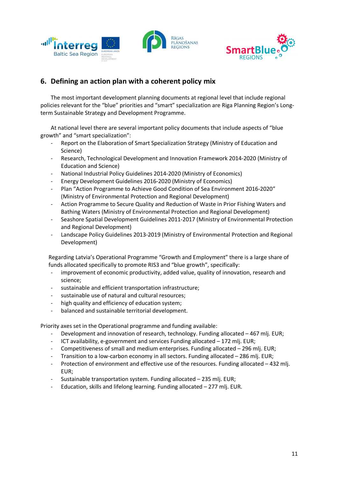



## **6. Defining an action plan with a coherent policy mix**

The most important development planning documents at regional level that include regional policies relevant for the "blue" priorities and "smart" specialization are Riga Planning Region's Longterm Sustainable Strategy and Development Programme.

At national level there are several important policy documents that include aspects of "blue growth" and "smart specialization":

- Report on the Elaboration of Smart Specialization Strategy (Ministry of Education and Science)
- Research, Technological Development and Innovation Framework 2014-2020 (Ministry of Education and Science)
- National Industrial Policy Guidelines 2014-2020 (Ministry of Economics)
- Energy Development Guidelines 2016-2020 (Ministry of Economics)
- Plan "Action Programme to Achieve Good Condition of Sea Environment 2016-2020" (Ministry of Environmental Protection and Regional Development)
- Action Programme to Secure Quality and Reduction of Waste in Prior Fishing Waters and Bathing Waters (Ministry of Environmental Protection and Regional Development)
- Seashore Spatial Development Guidelines 2011-2017 (Ministry of Environmental Protection and Regional Development)
- Landscape Policy Guidelines 2013-2019 (Ministry of Environmental Protection and Regional Development)

Regarding Latvia's Operational Programme "Growth and Employment" there is a large share of funds allocated specifically to promote RIS3 and "blue growth", specifically:

- improvement of economic productivity, added value, quality of innovation, research and science;
- sustainable and efficient transportation infrastructure;
- sustainable use of natural and cultural resources;
- high quality and efficiency of education system;
- balanced and sustainable territorial development.

Priority axes set in the Operational programme and funding available:

- Development and innovation of research, technology. Funding allocated  $-467$  mlj. EUR;
- ICT availability, e-government and services Funding allocated 172 mlj. EUR;
- Competitiveness of small and medium enterprises. Funding allocated 296 mlj. EUR;
- Transition to a low-carbon economy in all sectors. Funding allocated 286 mlj. EUR;
- Protection of environment and effective use of the resources. Funding allocated 432 mlj. EUR;
- Sustainable transportation system. Funding allocated 235 mlj. EUR;
- Education, skills and lifelong learning. Funding allocated 277 mlj. EUR.